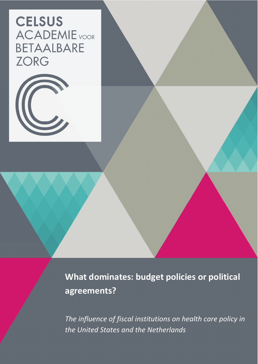# **CELSUS ACADEMIE** VOOR BETAALBARE **ZORG**



**What dominates: budget policies or political agreements?**

*The influence of fiscal institutions on health care policy in the United States and the Netherlands*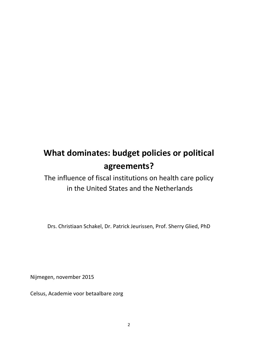## **What dominates: budget policies or political agreements?**

The influence of fiscal institutions on health care policy in the United States and the Netherlands

Drs. Christiaan Schakel, Dr. Patrick Jeurissen, Prof. Sherry Glied, PhD

Nijmegen, november 2015

Celsus, Academie voor betaalbare zorg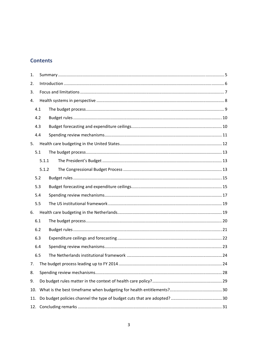## **Contents**

| 1.  |       |  |
|-----|-------|--|
| 2.  |       |  |
| 3.  |       |  |
| 4.  |       |  |
|     | 4.1   |  |
|     | 4.2   |  |
|     | 4.3   |  |
|     | 4.4   |  |
| 5.  |       |  |
|     | 5.1   |  |
|     | 5.1.1 |  |
|     | 5.1.2 |  |
|     | 5.2   |  |
|     | 5.3   |  |
|     | 5.4   |  |
|     | 5.5   |  |
| 6.  |       |  |
|     | 6.1   |  |
|     | 6.2   |  |
|     | 6.3   |  |
|     | 6.4   |  |
|     | 6.5   |  |
|     |       |  |
| 8.  |       |  |
| 9.  |       |  |
| 10. |       |  |
| 11. |       |  |
| 12. |       |  |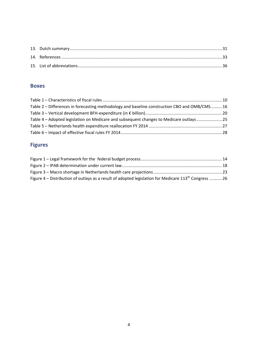## **Boxes**

| Table 2 – Differences in forecasting methodology and baseline construction CBO and OMB/CMS 16 |  |
|-----------------------------------------------------------------------------------------------|--|
|                                                                                               |  |
| Table 4 – Adopted legislation on Medicare and subsequent changes to Medicare outlays 25       |  |
|                                                                                               |  |
|                                                                                               |  |

## **Figures**

| Figure 4 – Distribution of outlays as a result of adopted legislation for Medicare 113 <sup>th</sup> Congress 26 |  |
|------------------------------------------------------------------------------------------------------------------|--|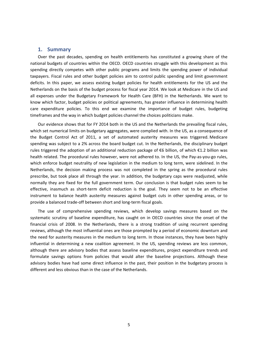#### **1. Summary**

Over the past decades, spending on health entitlements has constituted a growing share of the national budgets of countries within the OECD. OECD countries struggle with this development as this spending directly competes with other public programs and limits the spending power of individual taxpayers. Fiscal rules and other budget policies aim to control public spending and limit government deficits. In this paper, we assess existing budget policies for health entitlements for the US and the Netherlands on the basis of the budget process for fiscal year 2014. We look at Medicare in the US and all expenses under the Budgetary Framework for Health Care (BFH) in the Netherlands. We want to know which factor, budget policies or political agreements, has greater influence in determining health care expenditure policies. To this end we examine the importance of budget rules, budgeting timeframes and the way in which budget policies channel the choices politicians make.

Our evidence shows that for FY 2014 both in the US and the Netherlands the prevailing fiscal rules, which set numerical limits on budgetary aggregates, were complied with. In the US, as a consequence of the Budget Control Act of 2011, a set of automated austerity measures was triggered. Medicare spending was subject to a 2% across the board budget cut. In the Netherlands, the disciplinary budget rules triggered the adoption of an additional reduction package of €6 billion, of which €1.2 billion was health related. The procedural rules however, were not adhered to. In the US, the Pay-as-you-go rules, which enforce budget neutrality of new legislation in the medium to long term, were sidelined. In the Netherlands, the decision making process was not completed in the spring as the procedural rules prescribe, but took place all through the year. In addition, the budgetary caps were readjusted, while normally they are fixed for the full government term. Our conclusion is that budget rules seem to be effective, inasmuch as short-term deficit reduction is the goal. They seem not to be an effective instrument to balance health austerity measures against budget cuts in other spending areas, or to provide a balanced trade‐off between short and long‐term fiscal goals.

The use of comprehensive spending reviews, which develop savings measures based on the systematic scrutiny of baseline expenditure, has caught on in OECD countries since the onset of the financial crisis of 2008. In the Netherlands, there is a strong tradition of using recurrent spending reviews, although the most influential ones are those prompted by a period of economic downturn and the need for austerity measures in the medium to long term. In those instances, they have been highly influential in determining a new coalition agreement. In the US, spending reviews are less common, although there are advisory bodies that assess baseline expenditures, project expenditure trends and formulate savings options from policies that would alter the baseline projections. Although these advisory bodies have had some direct influence in the past, their position in the budgetary process is different and less obvious than in the case of the Netherlands.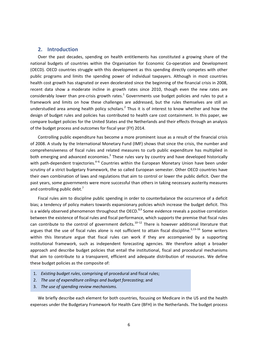#### **2. Introduction**

Over the past decades, spending on health entitlements has constituted a growing share of the national budgets of countries within the Organisation for Economic Co-operation and Development (OECD). OECD countries struggle with this development as this spending directly competes with other public programs and limits the spending power of individual taxpayers. Although in most countries health cost growth has stagnated or even decelerated since the beginning of the financial crisis in 2008, recent data show a moderate incline in growth rates since 2010, though even the new rates are considerably lower than pre-crisis growth rates.<sup>1</sup> Governments use budget policies and rules to put a framework and limits on how these challenges are addressed, but the rules themselves are still an understudied area among health policy scholars.<sup>2</sup> Thus it is of interest to know whether and how the design of budget rules and policies has contributed to health care cost containment. In this paper, we compare budget policies for the United States and the Netherlands and their effects through an analysis of the budget process and outcomes for fiscal year (FY) 2014.

Controlling public expenditure has become a more prominent issue as a result of the financial crisis of 2008. A study by the International Monetary Fund (IMF) shows that since the crisis, the number and comprehensiveness of fiscal rules and related measures to curb public expenditure has multiplied in both emerging and advanced economies.<sup>3</sup> These rules vary by country and have developed historically with path-dependent trajectories.<sup>4-6</sup> Countries within the European Monetary Union have been under scrutiny of a strict budgetary framework, the so called European semester. Other OECD countries have their own combination of laws and regulations that aim to control or lower the public deficit. Over the past years, some governments were more successful than others in taking necessary austerity measures and controlling public debt.<sup>7</sup>

Fiscal rules aim to discipline public spending in order to counterbalance the occurrence of a deficit bias; a tendency of policy makers towards expansionary policies which increase the budget deficit. This is a widely observed phenomenon throughout the OECD.<sup>8,9</sup> Some evidence reveals a positive correlation between the existence of fiscal rules and fiscal performance, which supports the premise that fiscal rules can contribute to the control of government deficits.<sup>10–12</sup> There is however additional literature that argues that the use of fiscal rules alone is not sufficient to attain fiscal discipline. $3,13-16$  Some writers within this literature argue that fiscal rules can work if they are accompanied by a supporting institutional framework, such as independent forecasting agencies. We therefore adopt a broader approach and describe budget policies that entail the institutional, fiscal and procedural mechanisms that aim to contribute to a transparent, efficient and adequate distribution of resources. We define these budget policies as the composite of:

- 1. *Existing budget rules*, comprising of procedural and fiscal rules;
- 2. *The use of expenditure ceilings and budget forecasting*; and
- 3. *The use of spending review mechanisms.*

We briefly describe each element for both countries, focusing on Medicare in the US and the health expenses under the Budgetary Framework for Health Care (BFH) in the Netherlands. The budget process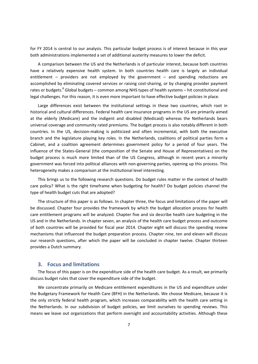for FY 2014 is central to our analysis. This particular budget process is of interest because in this year both administrations implemented a set of additional austerity measures to lower the deficit.

A comparison between the US and the Netherlands is of particular interest, because both countries have a relatively expensive health system. In both countries health care is largely an individual entitlement – providers are not employed by the government – and spending reductions are accomplished by eliminating covered services or raising cost‐sharing, or by changing provider payment rates or budgets.<sup>8</sup> Global budgets – common among NHS types of health systems – hit constitutional and legal challenges. For this reason, it is even more important to have effective budget policies in place.

Large differences exist between the institutional settings in these two countries, which root in historical and cultural differences. Federal health care insurance programs in the US are primarily aimed at the elderly (Medicare) and the indigent and disabled (Medicaid) whereas the Netherlands bears universal coverage and community rated premiums. The budget process is also notably different in both countries. In the US, decision‐making is politicized and often incremental, with both the executive branch and the legislature playing key roles. In the Netherlands, coalitions of political parties form a Cabinet, and a coalition agreement determines government policy for a period of four years. The influence of the States‐General (the composition of the Senate and House of Representatives) on the budget process is much more limited than of the US Congress, although in recent years a minority government was forced into political alliances with non‐governing parties, opening up this process. This heterogeneity makes a comparison at the institutional level interesting.

This brings us to the following research questions. Do budget rules matter in the context of health care policy? What is the right timeframe when budgeting for health? Do budget policies channel the type of health budget cuts that are adopted?

The structure of this paper is as follows. In chapter three, the focus and limitations of the paper will be discussed. Chapter four provides the framework by which the budget allocation process for health care entitlement programs will be analyzed. Chapter five and six describe health care budgeting in the US and in the Netherlands. In chapter seven, an analysis of the health care budget process and outcome of both countries will be provided for fiscal year 2014. Chapter eight will discuss the spending review mechanisms that influenced the budget preparation process. Chapter nine, ten and eleven will discuss our research questions, after which the paper will be concluded in chapter twelve. Chapter thirteen provides a Dutch summary.

#### **3. Focus and limitations**

The focus of this paper is on the expenditure side of the health care budget. As a result, we primarily discuss budget rules that cover the expenditure side of the budget.

We concentrate primarily on Medicare entitlement expenditures in the US and expenditure under the Budgetary Framework for Health Care (BFH) in the Netherlands. We choose Medicare, because it is the only strictly federal health program, which increases comparability with the health care setting in the Netherlands. In our subdivision of budget policies, we limit ourselves to spending reviews. This means we leave out organizations that perform oversight and accountability activities. Although these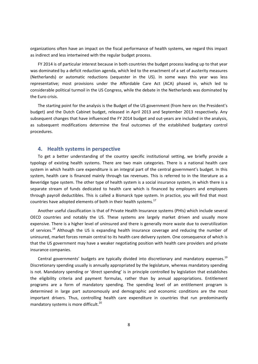organizations often have an impact on the fiscal performance of health systems, we regard this impact as indirect and less intertwined with the regular budget process.

FY 2014 is of particular interest because in both countries the budget process leading up to that year was dominated by a deficit reduction agenda, which led to the enactment of a set of austerity measures (Netherlands) or automatic reductions (sequester in the US). In some ways this year was less representative; most provisions under the Affordable Care Act (ACA) phased in, which led to considerable political turmoil in the US Congress, while the debate in the Netherlands was dominated by the Euro crisis.

The starting point for the analysis is the Budget of the US government (from here on: the President's budget) and the Dutch Cabinet budget, released in April 2013 and September 2013 respectively. Any subsequent changes that have influenced the FY 2014 budget and out-years are included in the analysis, as subsequent modifications determine the final outcomes of the established budgetary control procedures.

#### **4. Health systems in perspective**

To get a better understanding of the country specific institutional setting, we briefly provide a typology of existing health systems. There are two main categories. There is a national health care system in which health care expenditure is an integral part of the central government's budget. In this system, health care is financed mainly through tax revenues. This is referred to in the literature as a Beveridge type system. The other type of health system is a social insurance system, in which there is a separate stream of funds dedicated to health care which is financed by employers and employees through payroll deductibles. This is called a Bismarck type system. In practice, you will find that most countries have adopted elements of both in their health systems. $17$ 

Another useful classification is that of Private Health Insurance systems (PHIs) which include several OECD countries and notably the US. These systems are largely market driven and usually more expensive. There is a higher level of uninsured and there is generally more waste due to overutilization of services.<sup>18</sup> Although the US is expanding health insurance coverage and reducing the number of uninsured, market forces remain central to its health care delivery system. One consequence of which is that the US government may have a weaker negotiating position with health care providers and private insurance companies.

Central governments' budgets are typically divided into discretionary and mandatory expenses.<sup>19</sup> Discretionary spending usually is annually appropriated by the legislature, whereas mandatory spending is not. Mandatory spending or 'direct spending' is in principle controlled by legislation that establishes the eligibility criteria and payment formulas, rather than by annual appropriations. Entitlement programs are a form of mandatory spending. The spending level of an entitlement program is determined in large part autonomously and demographic and economic conditions are the most important drivers. Thus, controlling health care expenditure in countries that run predominantly mandatory systems is more difficult.<sup>20</sup>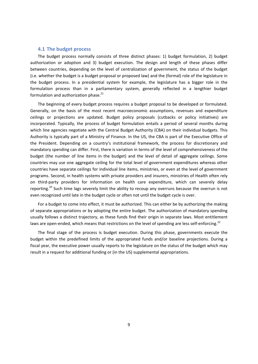#### **4.1 The budget process**

The budget process normally consists of three distinct phases: 1) budget formulation, 2) budget authorization or adoption and 3) budget execution. The design and length of these phases differ between countries, depending on the level of centralization of government, the status of the budget (i.e. whether the budget is a budget proposal or proposed law) and the (formal) role of the legislature in the budget process. In a presidential system for example, the legislature has a bigger role in the formulation process than in a parliamentary system, generally reflected in a lengthier budget formulation and authorization phase. $^{21}$ 

The beginning of every budget process requires a budget proposal to be developed or formulated. Generally, on the basis of the most recent macroeconomic assumptions, revenues and expenditure ceilings or projections are updated. Budget policy proposals (cutbacks or policy initiatives) are incorporated. Typically, the process of budget formulation entails a period of several months during which line agencies negotiate with the Central Budget Authority (CBA) on their individual budgets. This Authority is typically part of a Ministry of Finance. In the US, the CBA is part of the Executive Office of the President. Depending on a country's institutional framework, the process for discretionary and mandatory spending can differ. First, there is variation in terms of the level of comprehensiveness of the budget (the number of line items in the budget) and the level of detail of aggregate ceilings. Some countries may use one aggregate ceiling for the total level of government expenditures whereas other countries have separate ceilings for individual line items, ministries, or even at the level of government programs. Second, in health systems with private providers and insurers, ministries of Health often rely on third‐party providers for information on health care expenditure, which can severely delay reporting.<sup>20</sup> Such time lags severely limit the ability to recoup any overruns because the overrun is not even recognized until late in the budget cycle or often not until the budget cycle is over.

For a budget to come into effect, it must be authorized. This can either be by authorizing the making of separate appropriations or by adopting the entire budget. The authorization of mandatory spending usually follows a distinct trajectory, as these funds find their origin in separate laws. Most entitlement laws are open-ended, which means that restrictions on the level of spending are less self-enforcing.<sup>22</sup>

The final stage of the process is budget execution. During this phase, governments execute the budget within the predefined limits of the appropriated funds and/or baseline projections. During a fiscal year, the executive power usually reports to the legislature on the status of the budget which may result in a request for additional funding or (in the US) supplemental appropriations.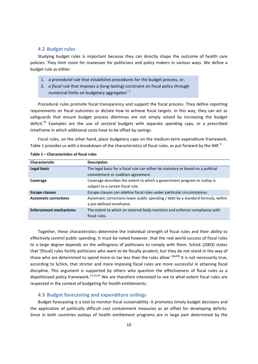#### **4.2 Budget rules**

Studying budget rules is important because they can directly shape the outcome of health care policies. They limit room for maneuver for politicians and policy makers in various ways. We define a budget rule as either:

- 1. *a procedural rule* that establishes procedures for the budget process, or;
- 2. *a fiscal rule* that imposes a (long‐lasting) constraint on fiscal policy through numerical limits on budgetary aggregates'.<sup>3</sup>

Procedural rules promote fiscal transparency and support the fiscal process. They define reporting requirements on fiscal outcomes or dictate how to achieve fiscal targets. In this way, they can act as safeguards that ensure budget process dilemmas are not simply solved by increasing the budget deficit.<sup>16</sup> Examples are the use of sectoral budgets with separate spending caps, or a prescribed timeframe in which additional costs have to be offset by savings.

Fiscal rules, on the other hand, place budgetary caps on the medium-term expenditure framework. Table 1 provides us with a breakdown of the characteristics of fiscal rules, as put forward by the IMF.<sup>3</sup>

| <b>Characteristic</b>         | <b>Description</b>                                                                |
|-------------------------------|-----------------------------------------------------------------------------------|
| Legal basis                   | The legal basis for a fiscal rule can either be statutory or based on a political |
|                               | commitment or coalition agreement.                                                |
| Coverage                      | Coverage describes the extent to which a government program or outlay is          |
|                               | subject to a certain fiscal rule.                                                 |
| <b>Escape clauses</b>         | Escape clauses can sideline fiscal rules under particular circumstances.          |
| <b>Automatic corrections</b>  | Automatic corrections lower public spending / debt by a standard formula, within  |
|                               | a pre-defined timeframe.                                                          |
| <b>Enforcement mechanisms</b> | The extent to which an external body monitors and enforces compliance with        |
|                               | fiscal rules.                                                                     |

|  | Table 1 – Characteristics of fiscal rules |  |
|--|-------------------------------------------|--|
|--|-------------------------------------------|--|

Together, these characteristics determine the individual strength of fiscal rules and their ability to effectively control public spending. It must be noted however, that the real world success of fiscal rules to a large degree depends on the willingness of politicians to comply with them. Schick (2003) states that '[fiscal] rules fortify politicians who want to be fiscally prudent, but they do not stand in the way of those who are determined to spend more or tax less than the rules allow'.<sup>8(p28)</sup> It is not necessarily true, according to Schick, that stricter and more imposing fiscal rules are more successful in attaining fiscal discipline. This argument is supported by others who question the effectiveness of fiscal rules as a depoliticized policy framework.<sup>15,23,24</sup> We are therefore interested to see to what extent fiscal rules are respected in the context of budgeting for health entitlements.

#### **4.3 Budget forecasting and expenditure ceilings**

Budget forecasting is a tool to monitor fiscal sustainability. It promotes timely budget decisions and the application of politically difficult cost containment measures as an offset for developing deficits. Since in both countries outlays of health entitlement programs are in large part determined by the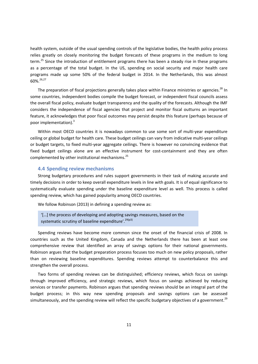health system, outside of the usual spending controls of the legislative bodies, the health policy process relies greatly on closely monitoring the budget forecasts of these programs in the medium to long term.<sup>25</sup> Since the introduction of entitlement programs there has been a steady rise in these programs as a percentage of the total budget. In the US, spending on social security and major health care programs made up some 50% of the federal budget in 2014. In the Netherlands, this was almost 60%.<sup>26,27</sup>

The preparation of fiscal projections generally takes place within Finance ministries or agencies.<sup>28</sup> In some countries, independent bodies compile the budget forecast, or independent fiscal councils assess the overall fiscal policy, evaluate budget transparency and the quality of the forecasts. Although the IMF considers the independence of fiscal agencies that project and monitor fiscal outturns an important feature, it acknowledges that poor fiscal outcomes may persist despite this feature (perhaps because of poor implementation).<sup>3</sup>

Within most OECD countries it is nowadays common to use some sort of multi-year expenditure ceiling or global budget for health care. These budget ceilings can vary from indicative multi‐year ceilings or budget targets, to fixed multi‐year aggregate ceilings. There is however no convincing evidence that fixed budget ceilings alone are an effective instrument for cost-containment and they are often complemented by other institutional mechanisms.<sup>25</sup>

#### **4.4 Spending review mechanisms**

Strong budgetary procedures and rules support governments in their task of making accurate and timely decisions in order to keep overall expenditure levels in line with goals. It is of equal significance to systematically evaluate spending under the baseline expenditure level as well. This process is called spending review, which has gained popularity among OECD countries.

We follow Robinson (2013) in defining a spending review as:

'[…] the process of developing and adopting savings measures, based on the systematic scrutiny of baseline expenditure'.<sup>29(p3)</sup>

Spending reviews have become more common since the onset of the financial crisis of 2008. In countries such as the United Kingdom, Canada and the Netherlands there has been at least one comprehensive review that identified an array of savings options for their national governments. Robinson argues that the budget preparation process focuses too much on new policy proposals, rather than on reviewing baseline expenditures. Spending reviews attempt to counterbalance this and strengthen the overall process.

Two forms of spending reviews can be distinguished; efficiency reviews, which focus on savings through improved efficiency, and strategic reviews, which focus on savings achieved by reducing services or transfer payments. Robinson argues that spending reviews should be an integral part of the budget process; in this way new spending proposals and savings options can be assessed simultaneously, and the spending review will reflect the specific budgetary objectives of a government.<sup>29</sup>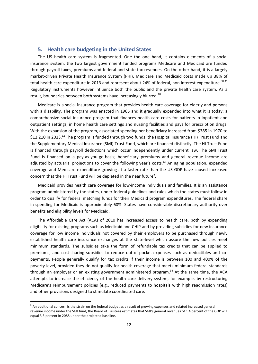#### **5. Health care budgeting in the United States**

The US health care system is fragmented. One the one hand, it contains elements of a social insurance system; the two largest government funded programs Medicare and Medicaid are funded through payroll taxes, premiums and federal and state tax revenues. On the other hand, it is a largely market-driven Private Health Insurance System (PHI). Medicare and Medicaid costs made up 38% of total health care expenditure in 2013 and represent about 24% of federal, non interest expenditure.<sup>30,31</sup> Regulatory instruments however influence both the public and the private health care system. As a result, boundaries between both systems have increasingly blurred.<sup>18</sup>

Medicare is a social insurance program that provides health care coverage for elderly and persons with a disability. The program was enacted in 1965 and it gradually expanded into what it is today; a comprehensive social insurance program that finances health care costs for patients in inpatient and outpatient settings, in home health care settings and nursing facilities and pays for prescription drugs. With the expansion of the program, associated spending per beneficiary increased from \$385 in 1970 to \$12,210 in 2013.<sup>32</sup> The program is funded through two funds; the Hospital Insurance (HI) Trust Fund and the Supplementary Medical Insurance (SMI) Trust Fund, which are financed distinctly. The HI Trust Fund is financed through payroll deductions which occur independently under current law. The SMI Trust Fund is financed on a pay-as-you-go-basis; beneficiary premiums and general revenue income are adjusted by actuarial projections to cover the following year's costs.<sup>33</sup> An aging population, expanded coverage and Medicare expenditure growing at a faster rate than the US GDP have caused increased concern that the HI Trust Fund will be depleted in the near future<sup>a</sup>.

Medicaid provides health care coverage for low‐income individuals and families. It is an assistance program administered by the states, under federal guidelines and rules which the states must follow in order to qualify for federal matching funds for their Medicaid program expenditures. The federal share in spending for Medicaid is approximately 60%. States have considerable discretionary authority over benefits and eligibility levels for Medicaid.

The Affordable Care Act (ACA) of 2010 has increased access to health care, both by expanding eligibility for existing programs such as Medicaid and CHIP and by providing subsidies for new insurance coverage for low income individuals not covered by their employers to be purchased through newly established health care insurance exchanges at the state-level which assure the new policies meet minimum standards. The subsidies take the form of refundable tax credits that can be applied to premiums, and cost-sharing subsidies to reduce out-of-pocket-expenses such as deductibles and copayments. People generally qualify for tax credits if their income is between 100 and 400% of the poverty level, provided they do not qualify for health coverage that meets minimum federal standards through an employer or an existing government administered program. $34$  At the same time, the ACA attempts to increase the efficiency of the health care delivery system, for example, by restructuring Medicare's reimbursement policies (e.g., reduced payments to hospitals with high readmission rates) and other provisions designed to stimulate coordinated care.

<sup>&</sup>lt;sup>a</sup> An additional concern is the strain on the federal budget as a result of growing expenses and related increased general revenue income under the SMI fund; the Board of Trustees estimates that SMI's general revenues of 1.4 percent of the GDP will equal 3.3 percent in 2088 under the projected baseline.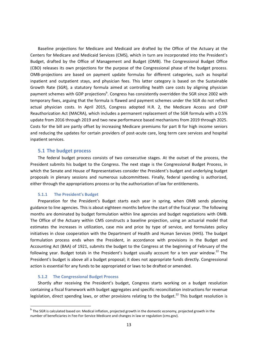Baseline projections for Medicare and Medicaid are drafted by the Office of the Actuary at the Centers for Medicare and Medicaid Services (CMS), which in turn are incorporated into the President's Budget, drafted by the Office of Management and Budget (OMB). The Congressional Budget Office (CBO) releases its own projections for the purpose of the Congressional phase of the budget process. OMB‐projections are based on payment update formulas for different categories, such as hospital inpatient and outpatient stays, and physician fees. This latter category is based on the Sustainable Growth Rate (SGR), a statutory formula aimed at controlling health care costs by aligning physician payment schemes with GDP projections<sup>b</sup>. Congress has consistently overridden the SGR since 2002 with temporary fixes, arguing that the formula is flawed and payment schemes under the SGR do not reflect actual physician costs. In April 2015, Congress adopted H.R. 2, the Medicare Access and CHIP Reauthorization Act (MACRA), which includes a permanent replacement of the SGR formula with a 0.5% update from 2016 through 2019 and two new performance based mechanisms from 2019 through 2025. Costs for the bill are partly offset by increasing Medicare premiums for part B for high income seniors and reducing the updates for certain providers of post-acute care, long term care services and hospital inpatient services.

#### **5.1 The budget process**

The federal budget process consists of two consecutive stages. At the outset of the process, the President submits his budget to the Congress. The next stage is the Congressional Budget Process, in which the Senate and House of Representatives consider the President's budget and underlying budget proposals in plenary sessions and numerous subcommittees. Finally, federal spending is authorized, either through the appropriations process or by the authorization of law for entitlements.

#### **5.1.1 The President's Budget**

Preparation for the President's Budget starts each year in spring, when OMB sends planning guidance to line agencies. This is about eighteen months before the start of the fiscal year. The following months are dominated by budget formulation within line agencies and budget negotiations with OMB. The Office of the Actuary within CMS constructs a baseline projection, using an actuarial model that estimates the increases in utilization, case mix and price by type of service, and formulates policy initiatives in close cooperation with the Department of Health and Human Services (HHS). The budget formulation process ends when the President, in accordance with provisions in the Budget and Accounting Act (BAA) of 1921, submits the budget to the Congress at the beginning of February of the following year. Budget totals in the President's budget usually account for a ten year window.<sup>22</sup> The President's budget is above all a budget proposal; it does not appropriate funds directly. Congressional action is essential for any funds to be appropriated or laws to be drafted or amended.

#### **5.1.2 The Congressional Budget Process**

<u> Andrew Maria (1989)</u>

Shortly after receiving the President's budget, Congress starts working on a budget resolution containing a fiscal framework with budget aggregates and specific reconciliation instructions for revenue legislation, direct spending laws, or other provisions relating to the budget.<sup>22</sup> This budget resolution is

<sup>&</sup>lt;sup>b</sup> The SGR is calculated based on: Medical inflation, projected growth in the domestic economy, projected growth in the number of beneficiaries in Fee‐For‐Service Medicare and changes in law or regulation (cms.gov).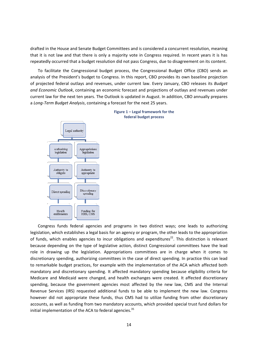drafted in the House and Senate Budget Committees and is considered a concurrent resolution, meaning that it is not law and that there is only a majority vote in Congress required. In recent years it is has repeatedly occurred that a budget resolution did not pass Congress, due to disagreement on its content.

To facilitate the Congressional budget process, the Congressional Budget Office (CBO) sends an analysis of the President's budget to Congress. In this report, CBO provides its own baseline projection of projected federal outlays and revenues, under current law. Every January, CBO releases its *Budget and Economic Outlook*, containing an economic forecast and projections of outlays and revenues under current law for the next ten years. The Outlook is updated in August. In addition, CBO annually prepares a *Long‐Term Budget Analysis*, containing a forecast for the next 25 years.



#### **Figure 1 – Legal framework for the federal budget process**

Congress funds federal agencies and programs in two distinct ways; one leads to authorizing legislation, which establishes a legal basis for an agency or program, the other leads to the appropriation of funds, which enables agencies to incur obligations and expenditures<sup>22</sup>. This distinction is relevant because depending on the type of legislative action, distinct Congressional committees have the lead role in drawing up the legislation. Appropriations committees are in charge when it comes to discretionary spending, authorizing committees in the case of direct spending. In practice this can lead to remarkable budget practices, for example with the implementation of the ACA which affected both mandatory and discretionary spending. It affected mandatory spending because eligibility criteria for Medicare and Medicaid were changed, and health exchanges were created. It affected discretionary spending, because the government agencies most affected by the new law, CMS and the Internal Revenue Services (IRS) requested additional funds to be able to implement the new law. Congress however did not appropriate these funds, thus CMS had to utilize funding from other discretionary accounts, as well as funding from two mandatory accounts, which provided special trust fund dollars for initial implementation of the ACA to federal agencies. $35$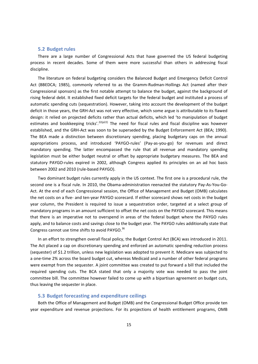#### **5.2 Budget rules**

There are a large number of Congressional Acts that have governed the US federal budgeting process in recent decades. Some of them were more successful than others in addressing fiscal discipline.

The literature on federal budgeting considers the Balanced Budget and Emergency Deficit Control Act (BBEDCA; 1985), commonly referred to as the Gramm‐Rudman‐Hollings Act (named after their Congressional sponsors) as the first notable attempt to balance the budget, against the background of rising federal debt. It established fixed deficit targets for the federal budget and instituted a process of automatic spending cuts (sequestration). However, taking into account the development of the budget deficit in those years, the GRH‐Act was not very effective, which some argue is attributable to its flawed design: it relied on projected deficits rather than actual deficits, which led 'to manipulation of budget estimates and bookkeeping tricks'.<sup>22(p22)</sup> The need for fiscal rules and fiscal discipline was however established, and the GRH‐Act was soon to be superseded by the Budget Enforcement Act (BEA; 1990). The BEA made a distinction between discretionary spending, placing budgetary caps on the annual appropriations process, and introduced 'PAYGO-rules' (Pay-as-you-go) for revenues and direct mandatory spending. The latter encompassed the rule that all revenue and mandatory spending legislation must be either budget neutral or offset by appropriate budgetary measures. The BEA and statutory PAYGO-rules expired in 2002, although Congress applied its principles on an ad hoc basis between 2002 and 2010 (rule‐based PAYGO).

Two dominant budget rules currently apply in the US context. The first one is a procedural rule, the second one is a fiscal rule. In 2010, the Obama-administration reenacted the statutory Pay-As-You-Go-Act. At the end of each Congressional session, the Office of Management and Budget (OMB) calculates the net costs on a five‐ and ten‐year PAYGO scorecard. If either scorecard shows net costs in the budget year column, the President is required to issue a sequestration order, targeted at a select group of mandatory programs in an amount sufficient to offset the net costs on the PAYGO scorecard. This means that there is an imperative not to overspend in areas of the federal budget where the PAYGO rules apply, and to balance costs and savings close to the budget year. The PAYGO rules additionally state that Congress cannot use time shifts to avoid PAYGO.<sup>36</sup>

In an effort to strengthen overall fiscal policy, the Budget Control Act (BCA) was introduced in 2011. The Act placed a cap on discretionary spending and enforced an automatic spending reduction process (sequester) of \$1.2 trillion, unless new legislation was adopted to prevent it. Medicare was subjected to a one‐time 2% across the board budget cut, whereas Medicaid and a number of other federal programs were exempt from the sequester. A joint committee was created to put forward a bill that included the required spending cuts. The BCA stated that only a majority vote was needed to pass the joint committee bill. The committee however failed to come up with a bipartisan agreement on budget cuts, thus leaving the sequester in place.

#### **5.3 Budget forecasting and expenditure ceilings**

Both the Office of Management and Budget (OMB) and the Congressional Budget Office provide ten year expenditure and revenue projections. For its projections of health entitlement programs, OMB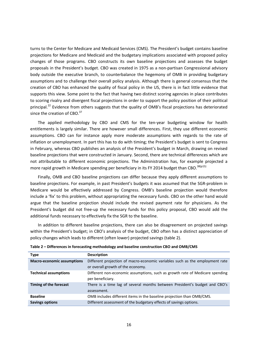turns to the Center for Medicare and Medicaid Services (CMS). The President's budget contains baseline projections for Medicare and Medicaid and the budgetary implications associated with proposed policy changes of those programs. CBO constructs its own baseline projections and assesses the budget proposals in the President's budget. CBO was created in 1975 as a non‐partisan Congressional advisory body outside the executive branch, to counterbalance the hegemony of OMB in providing budgetary assumptions and to challenge their overall policy analysis. Although there is general consensus that the creation of CBO has enhanced the quality of fiscal policy in the US, there is in fact little evidence that supports this view. Some point to the fact that having two distinct scoring agencies in place contributes to scoring rivalry and divergent fiscal projections in order to support the policy position of their political principal.<sup>22</sup> Evidence from others suggests that the quality of OMB's fiscal projections has deteriorated since the creation of CBO.<sup>37</sup>

The applied methodology by CBO and CMS for the ten-year budgeting window for health entitlements is largely similar. There are however small differences. First, they use different economic assumptions. CBO can for instance apply more moderate assumptions with regards to the rate of inflation or unemployment. In part this has to do with timing; the President's budget is sent to Congress in February, whereas CBO publishes an analysis of the President's budget in March, drawing on revised baseline projections that were constructed in January. Second, there are technical differences which are not attributable to different economic projections. The Administration has, for example projected a more rapid growth in Medicare spending per beneficiary in its FY 2014 budget than CBO.<sup>38(p15)</sup>

Finally, OMB and CBO baseline projections can differ because they apply different assumptions to baseline projections. For example, in past President's budgets it was assumed that the SGR‐problem in Medicare would be effectively addressed by Congress. OMB's baseline projection would therefore include a 'fix' to this problem, without appropriating the necessary funds. CBO on the other hand would argue that the baseline projection should include the revised payment rate for physicians. As the President's budget did not free‐up the necessary funds for this policy proposal, CBO would add the additional funds necessary to effectively fix the SGR to the baseline.

In addition to different baseline projections, there can also be disagreement on projected savings within the President's budget; in CBO's analysis of the budget, CBO often has a distinct appreciation of policy changes which leads to different (often lower) projected savings (table 2).

| <b>Type</b>                       | <b>Description</b>                                                           |
|-----------------------------------|------------------------------------------------------------------------------|
| <b>Macro-economic assumptions</b> | Different projection of macro-economic variables such as the employment rate |
|                                   | or overall growth of the economy.                                            |
| <b>Technical assumptions</b>      | Different non-economic assumptions, such as growth rate of Medicare spending |
|                                   | per beneficiary.                                                             |
| Timing of the forecast            | There is a time lag of several months between President's budget and CBO's   |
|                                   | assessment.                                                                  |
| <b>Baseline</b>                   | OMB includes different items in the baseline projection than OMB/CMS.        |
| <b>Savings options</b>            | Different assessment of the budgetary effects of savings options.            |

| Table 2 - Differences in forecasting methodology and baseline construction CBO and OMB/CMS |  |  |
|--------------------------------------------------------------------------------------------|--|--|
|--------------------------------------------------------------------------------------------|--|--|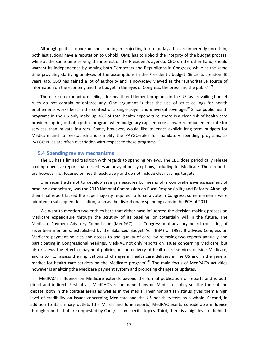Although political opportunism is lurking in projecting future outlays that are inherently uncertain, both institutions have a reputation to uphold. OMB has to uphold the integrity of the budget process, while at the same time serving the interest of the President's agenda. CBO on the other hand, should warrant its independence by serving both Democrats and Republicans in Congress, while at the same time providing clarifying analyses of the assumptions in the President's budget. Since its creation 40 years ago, CBO has gained a lot of authority and is nowadays viewed as the 'authoritative source of information on the economy and the budget in the eyes of Congress, the press and the public'.<sup>39</sup>

There are no expenditure ceilings for health entitlement programs in the US, as prevailing budget rules do not contain or enforce any. One argument is that the use of strict ceilings for health entitlements works best in the context of a single payer and universal coverage.<sup>40</sup> Since public health programs in the US only make up 38% of total health expenditure, there is a clear risk of health care providers opting out of a public program when budgetary caps enforce a lower reimbursement rate for services than private insurers. Some, however, would like to enact explicit long-term budgets for Medicare and to reestablish and simplify the PAYGO-rules for mandatory spending programs, as PAYGO-rules are often overridden with respect to these programs.<sup>41</sup>

#### **5.4 Spending review mechanisms**

The US has a limited tradition with regards to spending reviews. The CBO does periodically release a comprehensive report that describes an array of policy options, including for Medicare. These reports are however not focused on health exclusively and do not include clear savings targets.

One recent attempt to develop savings measures by means of a comprehensive assessment of baseline expenditure, was the 2010 National Commission on Fiscal Responsibility and Reform. Although their final report lacked the supermajority required to force a vote in Congress, some elements were adopted in subsequent legislation, such as the discretionary spending caps in the BCA of 2011.

We want to mention two entities here that either have influenced the decision making process on Medicare expenditure through the scrutiny of its baseline, or potentially will in the future. The Medicare Payment Advisory Commission (MedPAC) is a Congressional advisory board consisting of seventeen members, established by the Balanced Budget Act (BBA) of 1997. It advises Congress on Medicare payment policies and access to and quality of care, by releasing two reports annually and participating in Congressional hearings. MedPAC not only reports on issues concerning Medicare, but also reviews the effect of payment policies on the delivery of health care services outside Medicare, and is to '[…] assess the implications of changes in health care delivery in the US and in the general market for health care services on the Medicare program'.<sup>42</sup> The main focus of MedPAC's activities however is analyzing the Medicare payment system and proposing changes or updates.

MedPAC's influence on Medicare extends beyond the formal publication of reports and is both direct and indirect. First of all, MedPAC's recommendations on Medicare policy set the tone of the debate, both in the political arena as well as in the media. Their nonpartisan status gives them a high level of credibility on issues concerning Medicare and the US health system as a whole. Second, in addition to its primary outlets (the March and June reports) MedPAC exerts considerable influence through reports that are requested by Congress on specific topics. Third, there is a high level of behind‐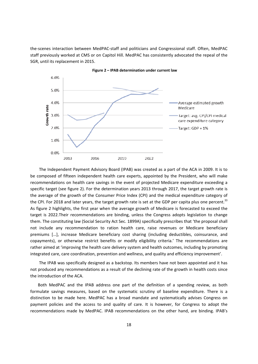the‐scenes interaction between MedPAC‐staff and politicians and Congressional staff. Often, MedPAC staff previously worked at CMS or on Capitol Hill. MedPAC has consistently advocated the repeal of the SGR, until its replacement in 2015.



**Figure 2 – IPAB determination under current law**

The Independent Payment Advisory Board (IPAB) was created as a part of the ACA in 2009. It is to be composed of fifteen independent health care experts, appointed by the President, who will make recommendations on health care savings in the event of projected Medicare expenditure exceeding a specific target (see figure 2). For the determination years 2013 through 2017, the target growth rate is the average of the growth of the Consumer Price Index (CPI) and the medical expenditure category of the CPI. For 2018 and later years, the target growth rate is set at the GDP per capita plus one percent.<sup>33</sup> As figure 2 highlights, the first year when the average growth of Medicare is forecasted to exceed the target is 2022.Their recommendations are binding, unless the Congress adopts legislation to change them. The constituting law (Social Security Act Sec. 1899A) specifically prescribes that 'the proposal shall not include any recommendation to ration health care, raise revenues or Medicare beneficiary premiums […], increase Medicare beneficiary cost sharing (including deductibles, coinsurance, and copayments), or otherwise restrict benefits or modify eligibility criteria.' The recommendations are rather aimed at 'improving the health care delivery system and health outcomes, including by promoting integrated care, care coordination, prevention and wellness, and quality and efficiency improvement'.

The IPAB was specifically designed as a backstop. Its members have not been appointed and it has not produced any recommendations as a result of the declining rate of the growth in health costs since the introduction of the ACA.

Both MedPAC and the IPAB address one part of the definition of a spending review, as both formulate savings measures, based on the systematic scrutiny of baseline expenditure. There is a distinction to be made here. MedPAC has a broad mandate and systematically advises Congress on payment policies and the access to and quality of care. It is however, for Congress to adopt the recommendations made by MedPAC. IPAB recommendations on the other hand, are binding. IPAB's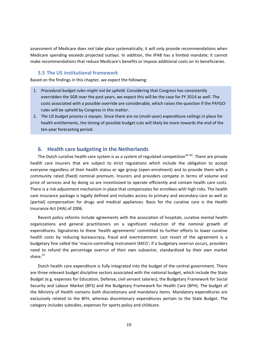assessment of Medicare does not take place systematically; it will only provide recommendations when Medicare spending exceeds projected outlays. In addition, the IPAB has a limited mandate; it cannot make recommendations that reduce Medicare's benefits or impose additional costs on its beneficiaries.

#### **5.5 The US institutional framework**

Based on the findings in this chapter, we expect the following:

- 1. *Procedural budget rules might not be upheld.* Considering that Congress has consistently overridden the SGR over the past years, we expect this will be the case for FY 2014 as well. The costs associated with a possible override are considerable, which raises the question if the PAYGO‐ rules will be upheld by Congress in this matter.
- 2. *The US budget process is myopic.* Since there are no (multi‐year) expenditure ceilings in place for health entitlements, the timing of possible budget cuts will likely be more towards the end of the ten‐year forecasting period.

#### **6. Health care budgeting in the Netherlands**

The Dutch curative health care system is as a system of regulated competition<sup>43-45</sup>. There are private health care insurers that are subject to strict regulations which include the obligation to accept everyone regardless of their health status or age group (open enrolment) and to provide them with a community rated (fixed) nominal premium. Insurers and providers compete in terms of volume and price of services and by doing so are incentivized to operate efficiently and contain health care costs. There is a risk‐adjustment mechanism in place that compensates for enrollees with high risks. The health care insurance package is legally defined and includes access to primary and secondary care as well as (partial) compensation for drugs and medical appliances. Basis for the curative care is the Health Insurance Act (HIA) of 2006.

Recent policy reforms include agreements with the association of hospitals, curative mental health organizations and general practitioners on a significant reduction of the nominal growth of expenditures. Signatories to these 'health agreements' committed to further efforts to lower curative health costs by reducing bureaucracy, fraud and overtreatment. Last resort of the agreement is a budgetary fine called the 'macro‐controlling instrument (MCI)'; if a budgetary overrun occurs, providers need to refund the percentage overrun of their own subsector, standardized by their own market share. $25$ 

Dutch health care expenditure is fully integrated into the budget of the central government. There are three relevant budget discipline sectors associated with the national budget, which include the State Budget (e.g. expenses for Education, Defense, civil servant salaries), the Budgetary Framework for Social Security and Labour Market (BFS) and the Budgetary Framework for Health Care (BFH). The budget of the Ministry of Health contains both discretionary and mandatory items. Mandatory expenditures are exclusively related to the BFH, whereas discretionary expenditures pertain to the State Budget. The category includes subsidies, expenses for sports policy and childcare.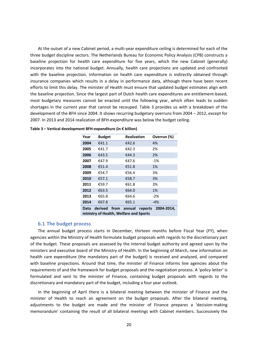At the outset of a new Cabinet period, a multi‐year expenditure ceiling is determined for each of the three budget discipline sectors. The Netherlands Bureau for Economic Policy Analysis (CPB) constructs a baseline projection for health care expenditure for five years, which the new Cabinet (generally) incorporates into the national budget. Annually, health care projections are updated and confronted with the baseline projection. Information on health care expenditure is indirectly obtained through insurance companies which results in a delay in performance data, although there have been recent efforts to limit this delay. The minister of Health must ensure that updated budget estimates align with the baseline projection. Since the largest part of Dutch health care expenditures are entitlement‐based, most budgetary measures cannot be enacted until the following year, which often leads to sudden shortages in the current year that cannot be recouped. Table 3 provides us with a breakdown of the development of the BFH since 2004. It shows recurring budgetary overruns from 2004 – 2012, except for 2007. In 2013 and 2014 realization of BFH‐expenditure was below the budget ceiling.

| Year | <b>Budget</b>            | <b>Realization</b> | Overrun (%) |
|------|--------------------------|--------------------|-------------|
| 2004 | €41.1                    | €42.6              | 4%          |
| 2005 | €41.7                    | €42.3              | 2%          |
| 2006 | €43.5                    | €44.3              | 2%          |
| 2007 | €47.9                    | €47.6              | $-1%$       |
| 2008 | €51.4                    | €51.8              | 1%          |
| 2009 | €54.7                    | €56.4              | 3%          |
| 2010 | €57.1                    | €58.7              | 3%          |
| 2011 | €59.7                    | €61.8              | 3%          |
| 2012 | €63.5                    | €64.0              | 1%          |
| 2013 | €65.8                    | €64.6              | $-2%$       |
| 2014 | €67.8                    | €65.1              | $-4%$       |
| Data | derived from annual<br>. | reports            | 2004-2014.  |

|  | Table 3 - Vertical development BFH-expenditure (in € billion) |  |
|--|---------------------------------------------------------------|--|
|  |                                                               |  |

**ministry of Health, Welfare and Sports**

#### **6.1 The budget process**

The annual budget process starts in December, thirteen months before Fiscal Year (FY), when agencies within the Ministry of Health formulate budget proposals with regards to the discretionary part of the budget. These proposals are assessed by the internal budget authority and agreed upon by the ministers and executive board of the Ministry of Health. In the beginning of March, new information on health care expenditure (the mandatory part of the budget) is received and analyzed, and compared with baseline projections. Around that time, the minister of Finance informs line agencies about the requirements of and the framework for budget proposals and the negotiation process. A 'policy letter' is formulated and sent to the minister of Finance, containing budget proposals with regards to the discretionary and mandatory part of the budget, including a four year outlook.

In the beginning of April there is a bilateral meeting between the minister of Finance and the minister of Health to reach an agreement on the budget proposals. After the bilateral meeting, adjustments to the budget are made and the minister of Finance prepares a 'decision-making memorandum' containing the result of all bilateral meetings with Cabinet members. Successively the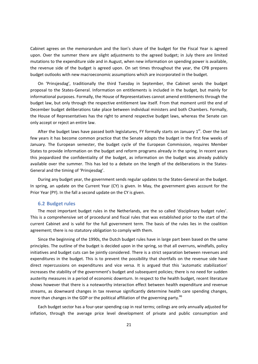Cabinet agrees on the memorandum and the lion's share of the budget for the Fiscal Year is agreed upon. Over the summer there are slight adjustments to the agreed budget; in July there are limited mutations to the expenditure side and in August, when new information on spending power is available, the revenue side of the budget is agreed upon. On set times throughout the year, the CPB prepares budget outlooks with new macroeconomic assumptions which are incorporated in the budget.

On 'Prinsjesdag', traditionally the third Tuesday in September, the Cabinet sends the budget proposal to the States‐General. Information on entitlements is included in the budget, but mainly for informational purposes. Formally, the House of Representatives cannot amend entitlements through the budget law, but only through the respective entitlement law itself. From that moment until the end of December budget deliberations take place between individual ministers and both Chambers. Formally, the House of Representatives has the right to amend respective budget laws, whereas the Senate can only accept or reject an entire law.

After the budget laws have passed both legislatures, FY formally starts on January  $1<sup>st</sup>$ . Over the last few years it has become common practice that the Senate adopts the budget in the first few weeks of January. The European semester, the budget cycle of the European Commission, requires Member States to provide information on the budget and reform programs already in the spring. In recent years this jeopardized the confidentiality of the budget, as information on the budget was already publicly available over the summer. This has led to a debate on the length of the deliberations in the States‐ General and the timing of 'Prinsjesdag'.

During any budget year, the government sends regular updates to the States‐General on the budget. In spring, an update on the Current Year (CY) is given. In May, the government gives account for the Prior Year (PY). In the fall a second update on the CY is given.

#### **6.2 Budget rules**

The most important budget rules in the Netherlands, are the so called 'disciplinary budget rules'. This is a comprehensive set of procedural and fiscal rules that was established prior to the start of the current Cabinet and is valid for the full government term. The basis of the rules lies in the coalition agreement; there is no statutory obligation to comply with them.

Since the beginning of the 1990s, the Dutch budget rules have in large part been based on the same principles. The outline of the budget is decided upon in the spring, so that all overruns, windfalls, policy initiatives and budget cuts can be jointly considered. There is a strict separation between revenues and expenditures in the budget. This is to prevent the possibility that shortfalls on the revenue side have direct repercussions on expenditures and vice versa. It is argued that this 'automatic stabilization' increases the stability of the government's budget and subsequent policies; there is no need for sudden austerity measures in a period of economic downturn. In respect to the health budget, recent literature shows however that there is a noteworthy interaction effect between health expenditure and revenue streams, as downward changes in tax revenue significantly determine health care spending changes, more than changes in the GDP or the political affiliation of the governing party.<sup>46</sup>

Each budget sector has a four‐year spending cap in real terms; ceilings are only annually adjusted for inflation, through the average price level development of private and public consumption and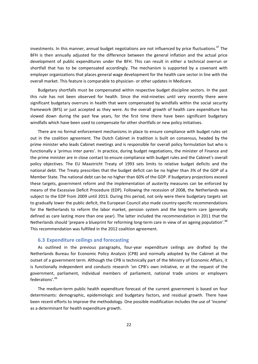investments. In this manner, annual budget negotiations are not influenced by price fluctuations.<sup>47</sup> The BFH is then annually adjusted for the difference between the general inflation and the actual price development of public expenditures under the BFH. This can result in either a technical overrun or shortfall that has to be compensated accordingly. The mechanism is supported by a covenant with employer organizations that places general wage development for the health care sector in line with the overall market. This feature is comparable to physician‐ or other updates in Medicare.

Budgetary shortfalls must be compensated within respective budget discipline sectors. In the past this rule has not been observed for health. Since the mid-nineties until very recently there were significant budgetary overruns in health that were compensated by windfalls within the social security framework (BFS) or just accepted as they were. As the overall growth of health care expenditure has slowed down during the past few years, for the first time there have been significant budgetary windfalls which have been used to compensate for other shortfalls or new policy initiatives.

There are no formal enforcement mechanisms in place to ensure compliance with budget rules set out in the coalition agreement. The Dutch Cabinet in tradition is built on consensus, headed by the prime minister who leads Cabinet meetings and is responsible for overall policy formulation but who is functionally a 'primus inter pares'. In practice, during budget negotiations, the minister of Finance and the prime minister are in close contact to ensure compliance with budget rules and the Cabinet's overall policy objectives. The EU Maastricht Treaty of 1993 sets limits to relative budget deficits and the national debt. The Treaty prescribes that the budget deficit can be no higher than 3% of the GDP of a Member State. The national debt can be no higher than 60% of the GDP. If budgetary projections exceed these targets, government reform and the implementation of austerity measures can be enforced by means of the Excessive Deficit Procedure (EDP). Following the recession of 2008, the Netherlands was subject to the EDP from 2009 until 2013. During this period, not only were there budgetary targets set to gradually lower the public deficit, the European Council also made country-specific recommendations for the Netherlands to reform the labor market, pension system and the long-term care (generally defined as care lasting more than one year). The latter included the recommendation in 2011 that the Netherlands should 'prepare a blueprint for reforming long-term care in view of an ageing population'.<sup>48</sup> This recommendation was fulfilled in the 2012 coalition agreement.

#### **6.3 Expenditure ceilings and forecasting**

As outlined in the previous paragraphs, four‐year expenditure ceilings are drafted by the Netherlands Bureau for Economic Policy Analysis (CPB) and normally adopted by the Cabinet at the outset of a government term. Although the CPB is technically part of the Ministry of Economic Affairs, it is functionally independent and conducts research 'on CPB's own initiative, or at the request of the government, parliament, individual members of parliament, national trade unions or employers federations'.<sup>49</sup>

The medium-term public health expenditure forecast of the current government is based on four determinants: demographic, epidemiologic and budgetary factors, and residual growth. There have been recent efforts to improve the methodology. One possible modification includes the use of 'income' as a determinant for health expenditure growth.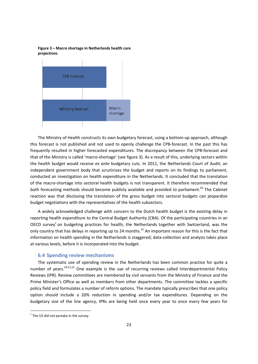**Figure 3 – Macro shortage in Netherlands health care projections**



The Ministry of Health constructs its own budgetary forecast, using a bottom-up approach, although this forecast is not published and not used to openly challenge the CPB‐forecast. In the past this has frequently resulted in higher forecasted expenditures. The discrepancy between the CPB‐forecast and that of the Ministry is called 'macro‐shortage' (see figure 3). As a result of this, underlying sectors within the health budget would receive *ex ante* budgetary cuts. In 2011, the Netherlands Court of Audit, an independent government body that scrutinizes the budget and reports on its findings to parliament, conducted an investigation on health expenditure in the Netherlands. It concluded that the translation of the macro‐shortage into sectoral health budgets is not transparent. It therefore recommended that both forecasting methods should become publicly available and provided to parliament.<sup>50</sup> The Cabinet reaction was that disclosing the translation of the gross budget into sectoral budgets can jeopardize budget negotiations with the representatives of the health subsectors.

A widely acknowledged challenge with concern to the Dutch health budget is the existing delay in reporting health expenditure to the Central Budget Authority (CBA). Of the participating countries in an OECD survey<sup>c</sup> on budgeting practices for health, the Netherlands together with Switzerland, was the only country that has delays in reporting up to 24 months.<sup>25</sup> An important reason for this is the fact that information on health spending in the Netherlands is staggered; data-collection and analysis takes place at various levels, before it is incorporated into the budget.

#### **6.4 Spending review mechanisms**

The systematic use of spending review in the Netherlands has been common practice for quite a number of years.<sup>29,51,52</sup> One example is the use of recurring reviews called Interdepartmental Policy Reviews (IPR). Review committees are membered by civil servants from the Ministry of Finance and the Prime Minister's Office as well as members from other departments. The committee tackles a specific policy field and formulates a number of reform options. The mandate typically prescribes that one policy option should include a 20% reduction in spending and/or tax expenditures. Depending on the budgetary size of the line agency, IPRs are being held once every year to once every few years for

  $\textdegree$  The US did not partake in the survey.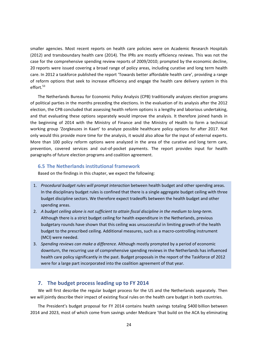smaller agencies. Most recent reports on health care policies were on Academic Research Hospitals (2012) and transboundary health care (2014). The IPRs are mostly efficiency reviews. This was not the case for the comprehensive spending review reports of 2009/2010; prompted by the economic decline, 20 reports were issued covering a broad range of policy areas, including curative and long term health care. In 2012 a taskforce published the report 'Towards better affordable health care', providing a range of reform options that seek to increase efficiency and engage the health care delivery system in this effort. $53$ 

The Netherlands Bureau for Economic Policy Analysis (CPB) traditionally analyzes election programs of political parties in the months preceding the elections. In the evaluation of its analysis after the 2012 election, the CPB concluded that assessing health reform options is a lengthy and laborious undertaking, and that evaluating these options separately would improve the analysis. It therefore joined hands in the beginning of 2014 with the Ministry of Finance and the Ministry of Health to form a technical working group 'Zorgkeuzes in Kaart' to analyze possible healthcare policy options for after 2017. Not only would this provide more time for the analysis, it would also allow for the input of external experts. More than 100 policy reform options were analyzed in the area of the curative and long term care, prevention, covered services and out-of-pocket payments. The report provides input for health paragraphs of future election programs and coalition agreement.

#### **6.5 The Netherlands institutional framework**

Based on the findings in this chapter, we expect the following:

- 1. *Procedural budget rules will prompt interaction* between health budget and other spending areas. In the disciplinary budget rules is confined that there is a single aggregate budget ceiling with three budget discipline sectors. We therefore expect tradeoffs between the health budget and other spending areas.
- 2. A budget ceiling alone is not sufficient to attain fiscal discipline in the medium to long-term. Although there is a strict budget ceiling for health expenditure in the Netherlands, previous budgetary rounds have shown that this ceiling was unsuccessful in limiting growth of the health budget to the prescribed ceiling. Additional measures, such as a macro-controlling instrument (MCI) were needed.
- 3. *Spending reviews can make a difference.* Although mostly prompted by a period of economic downturn, the recurring use of comprehensive spending reviews in the Netherlands has influenced health care policy significantly in the past. Budget proposals in the report of the Taskforce of 2012 were for a large part incorporated into the coalition agreement of that year.

#### **7. The budget process leading up to FY 2014**

We will first describe the regular budget process for the US and the Netherlands separately. Then we will jointly describe their impact of existing fiscal rules on the health care budget in both countries.

The President's budget proposal for FY 2014 contains health savings totaling \$400 billion between 2014 and 2023, most of which come from savings under Medicare 'that build on the ACA by eliminating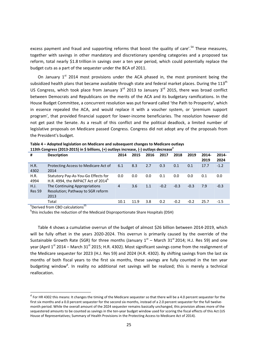excess payment and fraud and supporting reforms that boost the quality of care'.<sup>54</sup> These measures, together with savings in other mandatory and discretionary spending categories and a proposed tax reform, total nearly \$1.8 trillion in savings over a ten year period, which could potentially replace the budget cuts as a part of the sequester under the BCA of 2011.

On January  $1<sup>st</sup>$  2014 most provisions under the ACA phased in, the most prominent being the subsidized health plans that became available through state and federal market places. During the 113<sup>th</sup> US Congress, which took place from January  $3^{rd}$  2013 to January  $3^{rd}$  2015, there was broad conflict between Democrats and Republicans on the merits of the ACA and its budgetary ramifications. In the House Budget Committee, a concurrent resolution was put forward called 'the Path to Prosperity', which in essence repealed the ACA, and would replace it with a voucher system, or 'premium support program', that provided financial support for lower‐income beneficiaries. The resolution however did not get past the Senate. As a result of this conflict and the political deadlock, a limited number of legislative proposals on Medicare passed Congress. Congress did not adopt any of the proposals from the President's budget.

| #                     | <b>Description</b>                                                                    | 2014           | 2015 | 2016 | 2017   | 2018   | 2019   | 2014-<br>2019 | 2014-<br>2024 |
|-----------------------|---------------------------------------------------------------------------------------|----------------|------|------|--------|--------|--------|---------------|---------------|
| H.R.<br>4302          | Protecting Access to Medicare Act of<br>2014                                          | 6.1            | 8.3  | 2.7  | 0.3    | 0.1    | 0.1    | 17.7          | $-1.2$        |
| H.R.<br>4994          | Statutory Pay-As-You-Go Effects for<br>H.R. 4994, the IMPACT Act of 2014 <sup>b</sup> | 0.0            | 0.0  | 0.0  | 0.1    | 0.0    | 0.0    | 0.1           | 0.0           |
| H.J.<br><b>Res 59</b> | The Continuing Appropriations<br>Resolution; Pathway to SGR reform<br>2013            | $\overline{4}$ | 3.6  | 1.1  | $-0.2$ | $-0.3$ | $-0.3$ | 7.9           | $-0.3$        |
|                       | Total<br><b>TT</b>                                                                    | 10.1           | 11.9 | 3.8  | 0.2    | $-0.2$ | $-0.2$ | 25.7          | $-1.5$        |

**Table 4 – Adopted legislation on Medicare and subsequent changes to Medicare outlays 113th Congress (2013‐2015) in \$ billions, (+) outlays increase, (‐) outlays decrease<sup>a</sup>**

<sup>a</sup>Derived from CBO calculations<sup>55</sup>

<sup>b</sup>this includes the reduction of the Medicaid Disproportionate Share Hospitals (DSH)

Table 4 shows a cumulative overrun of the budget of almost \$26 billion between 2014‐2019, which will be fully offset in the years 2020-2024. This overrun is primarily caused by the override of the Sustainable Growth Rate (SGR) for three months (January  $1<sup>st</sup>$  – March 31<sup>st</sup> 2014; H.J. Res 59) and one year (April  $1<sup>st</sup>$  2014 – March 31<sup>st</sup> 2015; H.R. 4302). Most significant savings come from the realignment of the Medicare sequester for 2023 (H.J. Res 59) and 2024 (H.R. 4302). By shifting savings from the last six months of both fiscal years to the first six months, these savings are fully counted in the ten year budgeting window<sup>d</sup>. In reality no additional net savings will be realized; this is merely a technical reallocation.

<sup>&</sup>lt;sup>d</sup> For HR 4302 this means: It changes the timing of the Medicare sequester so that there will be a 4.0 percent sequester for the first six months and a 0.0 percent sequester for the second six months, instead of a 2.0 percent sequester for the full twelvemonth period. While the overall amount of the 2024 sequester remains basically unchanged, this provision allows more of the sequestered amounts to be counted as savings in the ten-year budget window used for scoring the fiscal effects of this Act (US House of Representatives; Summary of Health Provisions in the Protecting Access to Medicare Act of 2014).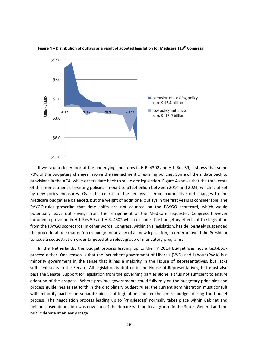

#### **Figure 4 – Distribution of outlays as a result of adopted legislation for Medicare 113th Congress**

If we take a closer look at the underlying line items in H.R. 4302 and H.J. Res 59, it shows that some 70% of the budgetary changes involve the reenactment of existing policies. Some of them date back to provisions in the ACA, while others date back to still older legislation. Figure 4 shows that the total costs of this reenactment of existing policies amount to \$16.4 billion between 2014 and 2024, which is offset by new policy measures. Over the course of the ten year period, cumulative net changes to the Medicare budget are balanced, but the weight of additional outlays in the first years is considerable. The PAYGO-rules prescribe that time shifts are not counted on the PAYGO scorecard, which would potentially leave out savings from the realignment of the Medicare sequester. Congress however included a provision in H.J. Res 59 and H.R. 4302 which excludes the budgetary effects of the legislation from the PAYGO scorecards. In other words, Congress, within this legislation, has deliberately suspended the procedural rule that enforces budget neutrality of all new legislation, in order to avoid the President to issue a sequestration order targeted at a select group of mandatory programs.

In the Netherlands, the budget process leading up to the FY 2014 budget was not a text‐book process either. One reason is that the incumbent government of Liberals (VVD) and Labour (PvdA) is a minority government in the sense that it has a majority in the House of Representatives, but lacks sufficient seats in the Senate. All legislation is drafted in the House of Representatives, but must also pass the Senate. Support for legislation from the governing parties alone is thus not sufficient to ensure adoption of the proposal. Where previous governments could fully rely on the budgetary principles and process guidelines as set forth in the disciplinary budget rules, the current administration must consult with minority parties on separate pieces of legislation and on the entire budget during the budget process. The negotiation process leading up to 'Prinsjesdag' normally takes place within Cabinet and behind closed doors, but was now part of the debate with political groups in the States‐General and the public debate at an early stage.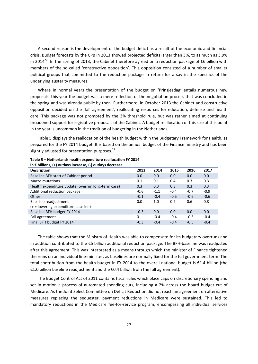A second reason is the development of the budget deficit as a result of the economic and financial crisis. Budget forecasts by the CPB in 2013 showed projected deficits larger than 3%, to as much as 3.9% in 2014<sup>27</sup>. In the spring of 2013, the Cabinet therefore agreed on a reduction package of €6 billion with members of the so called 'constructive opposition'. This opposition consisted of a number of smaller political groups that committed to the reduction package in return for a say in the specifics of the underlying austerity measures.

Where in normal years the presentation of the budget on 'Prinsjesdag' entails numerous new proposals, this year the budget was a mere reflection of the negotiation process that was concluded in the spring and was already public by then. Furthermore, in October 2013 the Cabinet and constructive opposition decided on the 'fall agreement', reallocating resources for education, defense and health care. This package was not prompted by the 3% threshold rule, but was rather aimed at continuing broadened support for legislative proposals of the Cabinet. A budget reallocation of this size at this point in the year is uncommon in the tradition of budgeting in the Netherlands.

Table 5 displays the reallocation of the health budget within the Budgetary Framework for Health, as prepared for the FY 2014 budget. It is based on the annual budget of the Finance ministry and has been slightly adjusted for presentation purposes. $^{27}$ 

| <b>Description</b>                                 | 2013   | 2014   | 2015   | 2016   | 2017   |
|----------------------------------------------------|--------|--------|--------|--------|--------|
| Baseline BFH start of Cabinet period               | 0.0    | 0.0    | 0.0    | 0.0    | 0.0    |
| <b>Macro mutations</b>                             | 0.1    | 0.1    | 0.4    | 0.3    | 0.3    |
| Health expenditure update (overrun long-term care) | 0.3    | 0.3    | 0.3    | 0.3    | 0.3    |
| Additional reduction package                       | $-0.6$ | $-1.1$ | $-0.4$ | $-0.7$ | $-0.9$ |
| Other                                              | $-0.1$ | $-0.4$ | $-0.5$ | $-0.6$ | $-0.6$ |
| Baseline readjustment                              | 0.0    | 1.0    | 0.2    | 0.6    | 0.8    |
| (+ = lowering expenditure baseline)                |        |        |        |        |        |
| Baseline BFH budget FY 2014                        | $-0.3$ | 0.0    | 0.0    | 0.0    | 0.0    |
| Fall agreement                                     | 0      | $-0.4$ | $-0.4$ | $-0.5$ | $-0.4$ |
| Final BFH budget FY 2014                           | $-0.3$ | $-0.4$ | $-0.4$ | $-0.5$ | $-0.4$ |

**Table 5 – Netherlands health expenditure reallocation FY 2014 in € billions, (+) outlays increase, (‐) outlays decrease**

The table shows that the Ministry of Health was able to compensate for its budgetary overruns and in addition contributed to the €6 billion additional reduction package. The BFH‐baseline was readjusted after this agreement. This was interpreted as a means through which the minister of Finance tightened the reins on an individual line‐minister, as baselines are normally fixed for the full government term. The total contribution from the health budget in FY 2014 to the overall national budget is €1.4 billion (the €1.0 billion baseline readjustment and the €0.4 billion from the fall agreement).

The Budget Control Act of 2011 contains fiscal rules which place caps on discretionary spending and set in motion a process of automated spending cuts, including a 2% across the board budget cut of Medicare. As the Joint Select Committee on Deficit Reduction did not reach an agreement on alternative measures replacing the sequester, payment reductions in Medicare were sustained. This led to mandatory reductions in the Medicare fee‐for‐service program, encompassing all individual services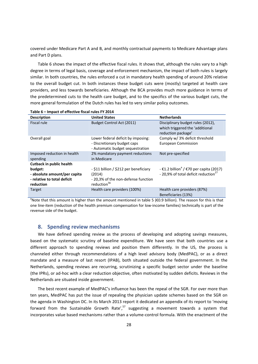covered under Medicare Part A and B, and monthly contractual payments to Medicare Advantage plans and Part D plans.

Table 6 shows the impact of the effective fiscal rules. It shows that, although the rules vary to a high degree in terms of legal basis, coverage and enforcement mechanism, the impact of both rules is largely similar. In both countries, the rules enforced a cut in mandatory health spending of around 20% relative to the overall budget cut. In both instances these budget cuts were (mostly) targeted at health care providers, and less towards beneficiaries. Although the BCA provides much more guidance in terms of the predetermined cuts to the health care budget, and to the specifics of the various budget cuts, the more general formulation of the Dutch rules has led to very similar policy outcomes.

| <b>Description</b>                                                                                                     | <b>United States</b>                                                                                              | <b>Netherlands</b>                                                                                                          |
|------------------------------------------------------------------------------------------------------------------------|-------------------------------------------------------------------------------------------------------------------|-----------------------------------------------------------------------------------------------------------------------------|
| <b>Fiscal rule</b>                                                                                                     | Budget Control Act (2011)                                                                                         | Disciplinary budget rules (2012),<br>which triggered the 'additional<br>reduction package'                                  |
| Overall goal                                                                                                           | Lower federal deficit by imposing:<br>- Discretionary budget caps<br>- Automatic budget sequestration             | Comply w/ 3% deficit threshold<br><b>European Commission</b>                                                                |
| Imposed reduction in health<br>spending                                                                                | 2% mandatory payment reductions<br>in Medicare                                                                    | Not pre-specified                                                                                                           |
| <b>Cutback in public health</b><br>budget:<br>- absolute amount/per capita<br>- relative to total deficit<br>reduction | - \$11 billion / \$212 per beneficiary<br>(2014)<br>-20,3% of the non-defense function<br>reduction <sup>56</sup> | - $\epsilon$ 1.2 billion <sup>a</sup> / $\epsilon$ 70 per capita (2017)<br>- 20,9% of total deficit reduction <sup>27</sup> |
| Target                                                                                                                 | Health care providers (100%)                                                                                      | Health care providers (87%)<br>Beneficiaries (13%)                                                                          |

**Table 6 – Impact of effective fiscal rules FY 2014**

<sup>a</sup>Note that this amount is higher than the amount mentioned in table 5 (€0.9 billion). The reason for this is that one line‐item (reduction of the health premium compensation for low‐income families) technically is part of the revenue side of the budget.

#### **8. Spending review mechanisms**

We have defined spending review as the process of developing and adopting savings measures, based on the systematic scrutiny of baseline expenditure. We have seen that both countries use a different approach to spending reviews and position them differently. In the US, the process is channeled either through recommendations of a high level advisory body (MedPAC), or as a direct mandate and a measure of last resort (IPAB), both situated outside the federal government. In the Netherlands, spending reviews are recurring, scrutinizing a specific budget sector under the baseline (the IPRs), or ad‐hoc with a clear reduction objective, often motivated by sudden deficits. Reviews in the Netherlands are situated inside government.

The best recent example of MedPAC's influence has been the repeal of the SGR. For over more than ten years, MedPAC has put the issue of repealing the physician update schemes based on the SGR on the agenda in Washington DC. In its March 2013 report it dedicated an appendix of its report to 'moving forward from the Sustainable Growth Rate',<sup>57</sup> suggesting a movement towards a system that incorporates value based mechanisms rather than a volume‐control formula. With the enactment of the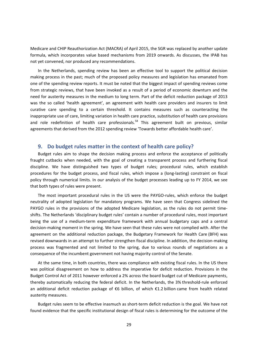Medicare and CHIP Reauthorization Act (MACRA) of April 2015, the SGR was replaced by another update formula, which incorporates value based mechanisms from 2019 onwards. As discusses, the IPAB has not yet convened, nor produced any recommendations.

In the Netherlands, spending review has been an effective tool to support the political decision making process in the past; much of the proposed policy measures and legislation has emanated from one of the spending review reports. It must be noted that the biggest impact of spending reviews come from strategic reviews, that have been invoked as a result of a period of economic downturn and the need for austerity measures in the medium to long term. Part of the deficit reduction package of 2013 was the so called 'health agreement', an agreement with health care providers and insurers to limit curative care spending to a certain threshold. It contains measures such as counteracting the inappropriate use of care, limiting variation in health care practice, substitution of health care provisions and role redefinition of health care professionals.<sup>58</sup> This agreement built on previous, similar agreements that derived from the 2012 spending review 'Towards better affordable health care'.

#### **9. Do budget rules matter in the context of health care policy?**

Budget rules aim to shape the decision making process and enforce the acceptance of politically fraught cutbacks when needed, with the goal of creating a transparent process and furthering fiscal discipline. We have distinguished two types of budget rules; procedural rules, which establish procedures for the budget process, and fiscal rules, which impose a (long‐lasting) constraint on fiscal policy through numerical limits. In our analysis of the budget processes leading up to FY 2014, we see that both types of rules were present.

The most important procedural rules in the US were the PAYGO-rules, which enforce the budget neutrality of adopted legislation for mandatory programs. We have seen that Congress sidelined the PAYGO rules in the provisions of the adopted Medicare legislation, as the rules do not permit timeshifts. The Netherlands 'disciplinary budget rules' contain a number of procedural rules, most important being the use of a medium-term expenditure framework with annual budgetary caps and a central decision‐making moment in the spring. We have seen that these rules were not complied with. After the agreement on the additional reduction package, the Budgetary Framework for Health Care (BFH) was revised downwards in an attempt to further strengthen fiscal discipline. In addition, the decision‐making process was fragmented and not limited to the spring, due to various rounds of negotiations as a consequence of the incumbent government not having majority control of the Senate.

At the same time, in both countries, there was compliance with existing fiscal rules. In the US there was political disagreement on how to address the imperative for deficit reduction. Provisions in the Budget Control Act of 2011 however enforced a 2% across the board budget cut of Medicare payments, thereby automatically reducing the federal deficit. In the Netherlands, the 3% threshold‐rule enforced an additional deficit reduction package of €6 billion, of which €1.2 billion came from health related austerity measures.

Budget rules seem to be effective inasmuch as short‐term deficit reduction is the goal. We have not found evidence that the specific institutional design of fiscal rules is determining for the outcome of the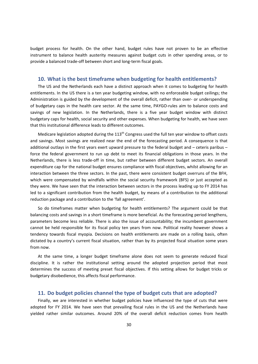budget process for health. On the other hand, budget rules have not proven to be an effective instrument to balance health austerity measures against budget cuts in other spending areas, or to provide a balanced trade‐off between short and long‐term fiscal goals.

#### **10. What is the best timeframe when budgeting for health entitlements?**

The US and the Netherlands each have a distinct approach when it comes to budgeting for health entitlements. In the US there is a ten year budgeting window, with no enforceable budget ceilings; the Administration is guided by the development of the overall deficit, rather than over‐ or underspending of budgetary caps in the health care sector. At the same time, PAYGO-rules aim to balance costs and savings of new legislation. In the Netherlands, there is a five year budget window with distinct budgetary caps for health, social security and other expenses. When budgeting for health, we have seen that this institutional difference leads to different outcomes.

Medicare legislation adopted during the 113<sup>th</sup> Congress used the full ten year window to offset costs and savings. Most savings are realized near the end of the forecasting period. A consequence is that additional outlays in the first years exert upward pressure to the federal budget and – ceteris paribus – force the federal government to run up debt to meet its financial obligations in those years. In the Netherlands, there is less trade‐off in time, but rather between different budget sectors. An overall expenditure cap for the national budget ensures compliance with fiscal objectives, whilst allowing for an interaction between the three sectors. In the past, there were consistent budget overruns of the BFH, which were compensated by windfalls within the social security framework (BFS) or just accepted as they were. We have seen that the interaction between sectors in the process leading up to FY 2014 has led to a significant contribution from the health budget, by means of a contribution to the additional reduction package and a contribution to the 'fall agreement'.

So do timeframes matter when budgeting for health entitlements? The argument could be that balancing costs and savings in a short timeframe is more beneficial. As the forecasting period lengthens, parameters become less reliable. There is also the issue of accountability; the incumbent government cannot be held responsible for its fiscal policy ten years from now. Political reality however shows a tendency towards fiscal myopia. Decisions on health entitlements are made on a rolling basis, often dictated by a country's current fiscal situation, rather than by its projected fiscal situation some years from now.

At the same time, a longer budget timeframe alone does not seem to generate reduced fiscal discipline. It is rather the institutional setting around the adopted projection period that most determines the success of meeting preset fiscal objectives. If this setting allows for budget tricks or budgetary disobedience, this affects fiscal performance.

#### **11. Do budget policies channel the type of budget cuts that are adopted?**

Finally, we are interested in whether budget policies have influenced the type of cuts that were adopted for FY 2014. We have seen that prevailing fiscal rules in the US and the Netherlands have yielded rather similar outcomes. Around 20% of the overall deficit reduction comes from health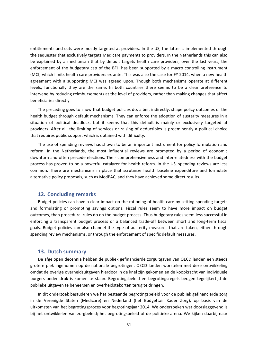entitlements and cuts were mostly targeted at providers. In the US, the latter is implemented through the sequester that exclusively targets Medicare payments to providers. In the Netherlands this can also be explained by a mechanism that by default targets health care providers; over the last years, the enforcement of the budgetary cap of the BFH has been supported by a macro controlling instrument (MCI) which limits health care providers ex ante. This was also the case for FY 2014, when a new health agreement with a supporting MCI was agreed upon. Though both mechanisms operate at different levels, functionally they are the same. In both countries there seems to be a clear preference to intervene by reducing reimbursements at the level of providers, rather than making changes that affect beneficiaries directly.

The preceding goes to show that budget policies do, albeit indirectly, shape policy outcomes of the health budget through default mechanisms. They can enforce the adoption of austerity measures in a situation of political deadlock, but it seems that this default is mainly or exclusively targeted at providers. After all, the limiting of services or raising of deductibles is preeminently a political choice that requires public support which is obtained with difficulty.

The use of spending reviews has shown to be an important instrument for policy formulation and reform. In the Netherlands, the most influential reviews are prompted by a period of economic downturn and often precede elections. Their comprehensiveness and interrelatedness with the budget process has proven to be a powerful catalyzer for health reform. In the US, spending reviews are less common. There are mechanisms in place that scrutinize health baseline expenditure and formulate alternative policy proposals, such as MedPAC, and they have achieved some direct results.

#### **12. Concluding remarks**

Budget policies can have a clear impact on the rationing of health care by setting spending targets and formulating or prompting savings options. Fiscal rules seem to have more impact on budget outcomes, than procedural rules do on the budget process. Thus budgetary rules seem less successful in enforcing a transparent budget process or a balanced trade-off between short and long-term fiscal goals. Budget policies can also channel the type of austerity measures that are taken, either through spending review mechanisms, or through the enforcement of specific default measures.

#### **13. Dutch summary**

De afgelopen decennia hebben de publiek gefinancierde zorguitgaven van OECD landen een steeds grotere plek ingenomen op de nationale begrotingen. OECD landen worstelen met deze ontwikkeling omdat de overige overheidsuitgaven hierdoor in de knel zijn gekomen en de koopkracht van individuele burgers onder druk is komen te staan. Begrotingsbeleid en begrotingsregels beogen tegelijkertijd de publieke uitgaven te beheersen en overheidstekorten terug te dringen.

In dit onderzoek bestuderen we het bestaande begrotingsbeleid voor de publiek gefinancierde zorg in de Verenigde Staten (Medicare) en Nederland (het Budgettair Kader Zorg), op basis van de uitkomsten van het begrotingsproces voor begrotingsjaar 2014. We onderzoeken wat doorslaggevend is bij het ontwikkelen van zorgbeleid; het begrotingsbeleid of de politieke arena. We kijken daarbij naar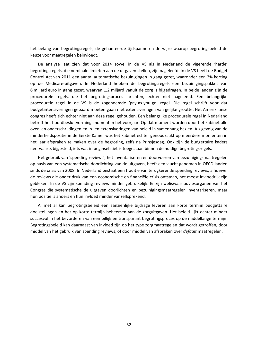het belang van begrotingsregels, de gehanteerde tijdspanne en de wijze waarop begrotingsbeleid de keuze voor maatregelen beïnvloedt.

De analyse laat zien dat voor 2014 zowel in de VS als in Nederland de vigerende 'harde' begrotingsregels, die nominale limieten aan de uitgaven stellen, zijn nageleefd. In de VS heeft de Budget Control Act van 2011 een aantal automatische bezuinigingen in gang gezet, waaronder een 2% korting op de Medicare‐uitgaven. In Nederland hebben de begrotingsregels een bezuinigingspakket van 6 miljard euro in gang gezet, waarvan 1,2 miljard vanuit de zorg is bijgedragen. In beide landen zijn de procedurele regels, die het begrotingsproces inrichten, echter niet nageleefd. Een belangrijke procedurele regel in de VS is de zogenoemde 'pay‐as‐you‐go' regel. Die regel schrijft voor dat budgetintensiveringen gepaard moeten gaan met extensiveringen van gelijke grootte. Het Amerikaanse congres heeft zich echter niet aan deze regel gehouden. Een belangrijke procedurele regel in Nederland betreft het hoofdbesluitvormingsmoment in het voorjaar. Op dat moment worden door het kabinet alle over‐ en onderschrijdingen en in‐ en extensiveringen van beleid in samenhang bezien. Als gevolg van de minderheidspositie in de Eerste Kamer was het kabinet echter genoodzaakt op meerdere momenten in het jaar afspraken te maken over de begroting, zelfs na Prinsjesdag. Ook zijn de budgettaire kaders neerwaarts bijgesteld, iets wat in beginsel niet is toegestaan binnen de huidige begrotingsregels.

Het gebruik van 'spending reviews', het inventariseren en doorvoeren van bezuinigingsmaatregelen op basis van een systematische doorlichting van de uitgaven, heeft een vlucht genomen in OECD landen sinds de crisis van 2008. In Nederland bestaat een traditie van terugkerende spending reviews, alhoewel de reviews die onder druk van een economische en financiële crisis ontstaan, het meest invloedrijk zijn gebleken. In de VS zijn spending reviews minder gebruikelijk. Er zijn weliswaar adviesorganen van het Congres die systematische de uitgaven doorlichten en bezuinigingsmaatregelen inventariseren, maar hun positie is anders en hun invloed minder vanzelfsprekend.

Al met al kan begrotingsbeleid een aanzienlijke bijdrage leveren aan korte termijn budgettaire doelstellingen en het op korte termijn beheersen van de zorguitgaven. Het beleid lijkt echter minder succesvol in het bevorderen van een billijk en transparant begrotingsproces op de middellange termijn. Begrotingsbeleid kan daarnaast van invloed zijn op het type zorgmaatregelen dat wordt getroffen, door middel van het gebruik van spending reviews, of door middel van afspraken over *default* maatregelen.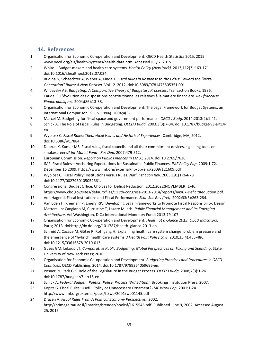### **14. References**

- 1. Organisation for Economic Co‐operation and Development. OECD Health Statistics 2015. 2015. www.oecd.org/els/health‐systems/health‐data.htm. Accessed July 7, 2015.
- 2. White J. Budget‐makers and health care systems. *Health Policy (New York)*. 2013;112(3):163‐171. doi:10.1016/j.healthpol.2013.07.024.
- 3. Budina N, Schaechter A, Weber A, Kinda T. *Fiscal Rules in Response to the Crisis: Toward the "Next‐ Generation" Rules: A New Dataset*. Vol 12. 2012. doi:10.5089/9781475505351.001.
- 4. Wildavsky AB. *Budgeting: A Comparative Theory of Budgetary Processes*. Transaction Books; 1986.
- 5. Caudal S. L'évolution des dispositions constitutionnelles relatives à la matière financière. *Rev française Financ publiques*. 2004;(86):13‐38.
- 6. Organisation for Economic Co-operation and Development. The Legal Framework for Budget Systems, an International Comparison. *OECD J Budg*. 2004;4(3).
- 7. Marcel M. Budgeting for fiscal space and government performance. *OECD J Budg*. 2014;2013(2):1‐41.
- 8. Schick A. The Role of Fiscal Rules in Budgeting. *OECD J Budg*. 2003;3(3):7‐34. doi:10.1787/budget‐v3‐art14‐ en.
- 9. Wyplosz C. *Fiscal Rules: Theoretical Issues and Historical Experiences*. Cambridge, MA; 2012. doi:10.3386/w17884.
- 10. Debrun X, Kumar MS. Fiscal rules, fiscal councils and all that: commitment devices, signaling tools or smokescreens? *Int Monet Fund ‐ Res Dep*. 2007:479‐512.
- 11. European Commission. *Report on Public Finances in EMU*.; 2014. doi:10.2765/7626.
- 12. IMF. Fiscal Rules—Anchoring Expectations for Sustainable Public Finances. *IMF Policy Pap*. 2009:1‐72. December 16 2009. https://www.imf.org/external/np/pp/eng/2009/121609.pdf
- 13. Wyplosz C. Fiscal Policy: Institutions versus Rules. *Natl Inst Econ Rev*. 2005;191(1):64‐78. doi:10.1177/0027950105052661.
- 14. Congressional Budget Office. Choices for Deficit Reduction. 2012;2022(NOVEMBER):1‐46. https://www.cbo.gov/sites/default/files/113th‐congress‐2013‐2014/reports/44967‐DeficitReduction.pdf.
- 15. Von Hagen J. Fiscal Institutions and Fiscal Performance. *Econ Soc Rev (Irel)*. 2002;33(3):263‐284.
- 16. Van Eden H, Khemani P, Emery RPJ. Developing Legal Frameworks to Promote Fiscal Responsibility: Design Matters. In: Cangiano M, Curristine T, Lazare M, eds. *Public Financial Management and Its Emerging Architecture*. Vol Washington, D.C.: International Monetary Fund; 2013:79‐107.
- 17. Organisation for Economic Co‐operation and Development. *Health at a Glance 2013: OECD Indicators*. Paris; 2013. doi:http://dx.doi.org/10.1787/health\_glance-2013-en.
- 18. Schmid A, Cacace M, Götze R, Rothgang H. Explaining health care system change: problem pressure and the emergence of "hybrid" health care systems. *J Health Polit Policy Law*. 2010;35(4):455‐486. doi:10.1215/03616878‐2010‐013.
- 19. Guess GM, LeLoup LT. *Comparative Public Budgeting: Global Perspectives on Taxing and Spending*. State University of New York Press; 2010.
- 20. Organisation for Economic Co‐operation and Development. *Budgeting Practices and Procedures in OECD Countries*. OECD Publishing; 2014. doi:10.1787/9789264059696‐en.
- 21. Posner PL, Park C‐K. Role of the Legislature in the Budget Process. *OECD J Budg*. 2008;7(3):1‐26. doi:10.1787/budget‐v7‐art15‐en.
- 22. Schick A. *Federal Budget : Politics, Policy, Process (3rd Edition)*. Brookings Institution Press; 2007.
- 23. Kopits G. Fiscal Rules: Useful Policy or Unnecessary Ornament? *IMF Work Pap*. 2001:1‐24. http://www.imf.org/external/pubs/ft/wp/2001/wp01145.pdf
- 24. Drazen A. *Fiscal Rules From A Political Economy Perspective*.; 2002. http://primage.tau.ac.il/libraries/brender/booksf/1615545.pdf. Published June 9, 2002. Accessed August 25, 2015.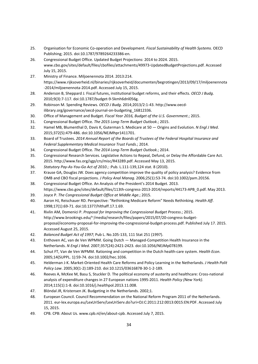- 25. Organisation for Economic Co‐operation and Development. *Fiscal Sustainability of Health Systems*. OECD Publishing; 2015. doi:10.1787/9789264233386‐en.
- 26. Congressional Budget Office. Updated Budget Projections: 2014 to 2024. 2015. www.cbo.gov/sites/default/files/cbofiles/attachments/49973‐UpdatedBudgetProjections.pdf. Accessed July 15, 2015.
- 27. Ministry of Finance. Miljoenennota 2014. 2013:214. https://www.rijksoverheid.nl/binaries/rijksoverheid/documenten/begrotingen/2013/09/17/miljoenennota ‐2014/miljoenennota‐2014.pdf. Accessed July 15, 2015.
- 28. Anderson B, Sheppard J. Fiscal futures, institutional budget reforms, and their effects. *OECD J Budg*. 2010;9(3):7‐117. doi:10.1787/budget‐9‐5kmh6dnl056g.
- 29. Robinson M. Spending Reviews. *OECD J Budg*. 2014;2013/2:1‐43. http://www.oecd‐ ilibrary.org/governance/oecd‐journal‐on‐budgeting\_16812336.
- 30. Office of Management and Budget. *Fiscal Year 2016, Budget of the U.S. Government*.; 2015.
- 31. Congressional Budget Office. *The 2015 Long‐Term Budget Outlook*.; 2015.
- 32. Hamel MB, Blumenthal D, Davis K, Guterman S. Medicare at 50 Origins and Evolution. *N Engl J Med*. 2015;372(5):479‐486. doi:10.1056/NEJMhpr1411701.
- 33. Board of Trustees. *2014 Annual Report of the Boards of Trustees of the Federal Hospital Insurance and Federal Supplementary Medical Insurance Trust Funds*.; 2014.
- 34. Congressional Budget Office. *The 2014 Long‐Term Budget Outlook*.; 2014.
- 35. Congressional Research Services. Legislative Actions to Repeal, Defund, or Delay the Affordable Care Act. 2015. http://www.fas.org/sgp/crs/misc/R43289.pdf. Accessed May 13, 2015.
- 36. *Statutory Pay‐As‐You‐Go Act of 2010*.; :Pub. L.111‐139,124 stat. 8 (2010).
- 37. Krause GA, Douglas JW. Does agency competition improve the quality of policy analysis? Evidence from OMB and CBO fiscal projections. *J Policy Anal Manag*. 2006;25(1):53‐74. doi:10.1002/pam.20156.
- 38. Congressional Budget Office. An Analysis of the President's 2014 Budget. 2013. https://www.cbo.gov/sites/default/files/113th-congress-2013-2014/reports/44173-APB\_0.pdf. May 2013.
- 39. Joyce P. *The Congressional Budget Office at Middle Age*.; 2015.
- 40. Aaron HJ, Reischauer RD. Perspective: "Rethinking Medicare Reform" Needs Rethinking. *Health Aff*. 1998;17(1):69‐71. doi:10.1377/hlthaff.17.1.69.
- 41. Rivlin AM, Domenici P. *Proposal for Improving the Congressional Budget Process*.; 2015. http://www.brookings.edu/~/media/research/files/papers/2015/07/20-congress-budgetproposal/economy‐proposal‐for‐improving‐the‐congressional‐budget‐process.pdf. Published July 17. 2015. Accessed August 25, 2015.
- 42. *Balanced Budget Act of 1997*; Pub L. No.105‐133, 111 Stat 251 (1997).
- 43. Enthoven AC, van de Ven WPMM. Going Dutch Managed-Competition Health Insurance in the Netherlands. *N Engl J Med*. 2007;357(24):2421‐2423. doi:10.1056/NEJMp078199.
- 44. Schut FT, Van de Ven WPMM. Rationing and competition in the Dutch health‐care system. *Health Econ*. 2005;14(SUPPL. 1):59‐74. doi:10.1002/hec.1036.
- 45. Helderman J‐K. Market‐Oriented Health Care Reforms and Policy Learning in the Netherlands. *J Health Polit Policy Law*. 2005;30(1‐2):189‐210. doi:10.1215/03616878‐30‐1‐2‐189.
- 46. Reeves A, McKee M, Basu S, Stuckler D. The political economy of austerity and healthcare: Cross‐national analysis of expenditure changes in 27 European nations 1995‐2011. *Health Policy (New York)*. 2014;115(1):1‐8. doi:10.1016/j.healthpol.2013.11.008.
- 47. Blöndal JR, Kristensen JK. Budgeting in the Netherlands. 2002;1.
- 48. European Council. Council Recommendation on the National Reform Program 2011 of the Netherlands. 2011. eur‐lex.europa.eu/LexUriServ/LexUriServ.do?uri=OJ:C:2011:212:0013:0015:EN:PDF. Accessed July 15, 2015.
- 49. CPB. CPB: About Us. www.cpb.nl/en/about‐cpb. Accessed July 7, 2015.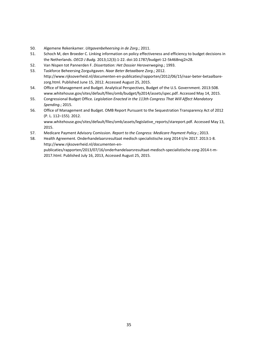- 50. Algemene Rekenkamer. *Uitgavenbeheersing in de Zorg*.; 2011.
- 51. Schoch M, den Broeder C. Linking information on policy effectiveness and efficiency to budget decisions in the Netherlands. *OECD J Budg*. 2013;12(3):1‐22. doi:10.1787/budget‐12‐5k468nqj2n28.
- 52. Van Nispen tot Pannerden F. *Dissertation: Het Dossier Heroverweging*.; 1993.
- 53. Taskforce Beheersing Zorguitgaven. *Naar Beter Betaalbare Zorg*.; 2012. http://www.rijksoverheid.nl/documenten‐en‐publicaties/rapporten/2012/06/15/naar‐beter‐betaalbare‐ zorg.html. Published June 15, 2012. Accessed August 25, 2015.
- 54. Office of Management and Budget. Analytical Perspectives, Budget of the U.S. Government. 2013:508. www.whitehouse.gov/sites/default/files/omb/budget/fy2014/assets/spec.pdf. Accessed May 14, 2015.
- 55. Congressional Budget Office. *Legislation Enacted in the 113th Congress That Will Affect Mandatory Spending*.; 2015.
- 56. Office of Management and Budget. OMB Report Pursuant to the Sequestration Transparency Act of 2012 (P. L. 112–155). 2012.

www.whitehouse.gov/sites/default/files/omb/assets/legislative\_reports/stareport.pdf. Accessed May 13, 2015.

- 57. Medicare Payment Advisory Comission. *Report to the Congress: Medicare Payment Policy*.; 2013.
- 58. Health Agreement. Onderhandelaarsresultaat medisch specialistische zorg 2014 t/m 2017. 2013:1‐8. http://www.rijksoverheid.nl/documenten‐en‐ publicaties/rapporten/2013/07/16/onderhandelaarsresultaat‐medisch‐specialistische‐zorg‐2014‐t‐m‐ 2017.html. Published July 16, 2013, Accessed August 25, 2015.